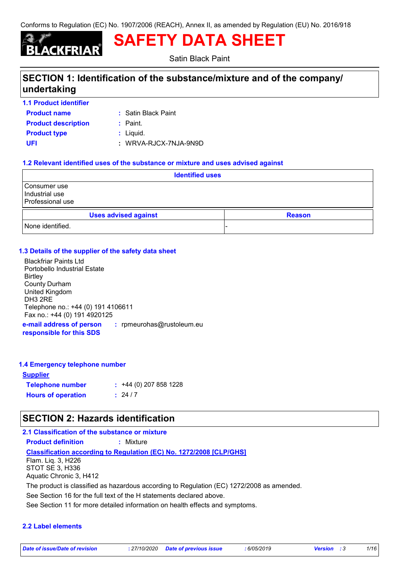# 'KERIAR

**SAFETY DATA SHEET**

Satin Black Paint

# **SECTION 1: Identification of the substance/mixture and of the company/ undertaking**

- **1.1 Product identifier**
- **Product name**

Satin Black Paint **:**

- **Product type**  $\qquad$ **: Liquid. Product description :** Paint.
- 

**UFI :** WRVA-RJCX-7NJA-9N9D

### **1.2 Relevant identified uses of the substance or mixture and uses advised against**

| <b>Identified uses</b>                             |                             |  |               |  |
|----------------------------------------------------|-----------------------------|--|---------------|--|
| Consumer use<br>Industrial use<br>Professional use |                             |  |               |  |
|                                                    | <b>Uses advised against</b> |  | <b>Reason</b> |  |
| None identified.                                   |                             |  | -             |  |

### **1.3 Details of the supplier of the safety data sheet**

Blackfriar Paints Ltd Portobello Industrial Estate **Birtley** County Durham United Kingdom DH3 2RE Telephone no.: +44 (0) 191 4106611 Fax no.: +44 (0) 191 4920125

**e-mail address of person responsible for this SDS :** rpmeurohas@rustoleum.eu

### **1.4 Emergency telephone number**

### **Supplier**

| <b>Telephone number</b>   | $: +44(0)$ 207 858 1228 |
|---------------------------|-------------------------|
| <b>Hours of operation</b> | : 24/7                  |

# **SECTION 2: Hazards identification**

### **2.1 Classification of the substance or mixture**

**Product definition :** Mixture

**Classification according to Regulation (EC) No. 1272/2008 [CLP/GHS]**

Flam. Liq. 3, H226 STOT SE 3, H336 Aquatic Chronic 3, H412

The product is classified as hazardous according to Regulation (EC) 1272/2008 as amended.

See Section 16 for the full text of the H statements declared above.

See Section 11 for more detailed information on health effects and symptoms.

### **2.2 Label elements**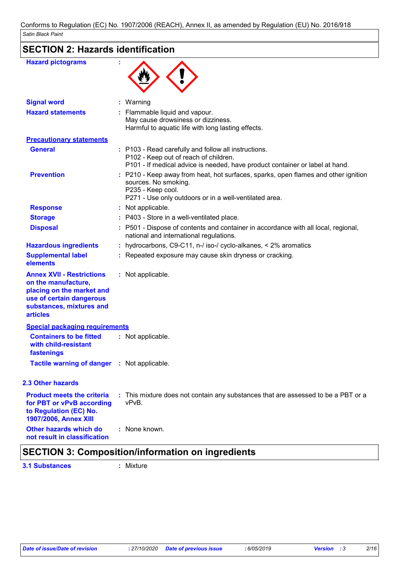| Satin Black Paint                                                                                                                                               |  |                                                                                                                                                                                           |
|-----------------------------------------------------------------------------------------------------------------------------------------------------------------|--|-------------------------------------------------------------------------------------------------------------------------------------------------------------------------------------------|
| <b>SECTION 2: Hazards identification</b>                                                                                                                        |  |                                                                                                                                                                                           |
| <b>Hazard pictograms</b>                                                                                                                                        |  |                                                                                                                                                                                           |
| <b>Signal word</b>                                                                                                                                              |  | : Warning                                                                                                                                                                                 |
| <b>Hazard statements</b>                                                                                                                                        |  | : Flammable liquid and vapour.<br>May cause drowsiness or dizziness.<br>Harmful to aquatic life with long lasting effects.                                                                |
| <b>Precautionary statements</b>                                                                                                                                 |  |                                                                                                                                                                                           |
| <b>General</b>                                                                                                                                                  |  | : P103 - Read carefully and follow all instructions.<br>P102 - Keep out of reach of children.<br>P101 - If medical advice is needed, have product container or label at hand.             |
| <b>Prevention</b>                                                                                                                                               |  | : P210 - Keep away from heat, hot surfaces, sparks, open flames and other ignition<br>sources. No smoking.<br>P235 - Keep cool.<br>P271 - Use only outdoors or in a well-ventilated area. |
| <b>Response</b>                                                                                                                                                 |  | : Not applicable.                                                                                                                                                                         |
| <b>Storage</b>                                                                                                                                                  |  | : P403 - Store in a well-ventilated place.                                                                                                                                                |
| <b>Disposal</b>                                                                                                                                                 |  | : P501 - Dispose of contents and container in accordance with all local, regional,<br>national and international regulations.                                                             |
| <b>Hazardous ingredients</b>                                                                                                                                    |  | : hydrocarbons, C9-C11, n-/ iso-/ cyclo-alkanes, < 2% aromatics                                                                                                                           |
| <b>Supplemental label</b><br>elements                                                                                                                           |  | : Repeated exposure may cause skin dryness or cracking.                                                                                                                                   |
| <b>Annex XVII - Restrictions</b><br>on the manufacture,<br>placing on the market and<br>use of certain dangerous<br>substances, mixtures and<br><b>articles</b> |  | : Not applicable.                                                                                                                                                                         |
| <b>Special packaging requirements</b>                                                                                                                           |  |                                                                                                                                                                                           |
| <b>Containers to be fitted</b><br>with child-resistant<br>fastenings                                                                                            |  | : Not applicable.                                                                                                                                                                         |
| Tactile warning of danger : Not applicable.                                                                                                                     |  |                                                                                                                                                                                           |

### **2.3 Other hazards**

| <b>Product meets the criteria</b><br>for PBT or vPvB according<br>to Regulation (EC) No.<br>1907/2006, Annex XIII | : This mixture does not contain any substances that are assessed to be a PBT or a<br>vPvB. |
|-------------------------------------------------------------------------------------------------------------------|--------------------------------------------------------------------------------------------|
| Other hazards which do<br>not result in classification                                                            | : None known.                                                                              |

# **SECTION 3: Composition/information on ingredients**

**3.1 Substances :** Mixture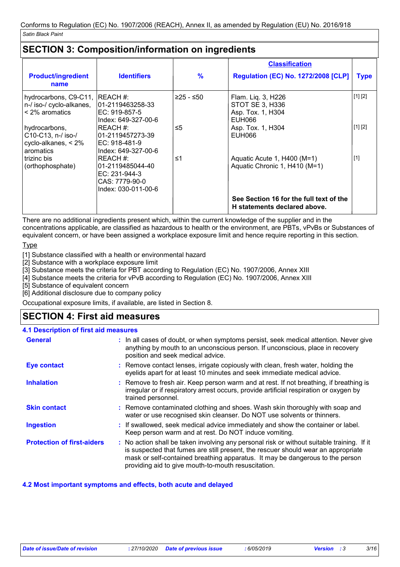# **SECTION 3: Composition/information on ingredients**

|                                                                                                                                                 |                                                                                                                  |                 | <b>Classification</b>                                                                                                                   |                    |
|-------------------------------------------------------------------------------------------------------------------------------------------------|------------------------------------------------------------------------------------------------------------------|-----------------|-----------------------------------------------------------------------------------------------------------------------------------------|--------------------|
| <b>Product/ingredient</b><br>name                                                                                                               | <b>Identifiers</b>                                                                                               | $\frac{9}{6}$   | <b>Regulation (EC) No. 1272/2008 [CLP]</b>                                                                                              | <b>Type</b>        |
| hydrocarbons, C9-C11, REACH #:<br>n-/ iso-/ cyclo-alkanes,<br>$<$ 2% aromatics<br>hydrocarbons,<br>C10-C13, n-/ iso-/<br>cyclo-alkanes, $< 2\%$ | 101-2119463258-33<br>EC: 919-857-5<br>Index: 649-327-00-6<br>IREACH #:<br>101-2119457273-39<br>IEC: 918-481-9    | ≥25 - ≤50<br>≤5 | Flam. Liq. 3, H226<br>STOT SE 3, H336<br>Asp. Tox. 1, H304<br>EUH066<br>Asp. Tox. 1, H304<br>EUH066                                     | [1] [2]<br>[1] [2] |
| aromatics<br>trizinc bis<br>(orthophosphate)                                                                                                    | Index: 649-327-00-6<br>IREACH #:<br>01-2119485044-40<br>$EC: 231-944-3$<br>CAS: 7779-90-0<br>Index: 030-011-00-6 | ≤1              | Aquatic Acute 1, H400 (M=1)<br>Aquatic Chronic 1, H410 (M=1)<br>See Section 16 for the full text of the<br>H statements declared above. | $[1]$              |

There are no additional ingredients present which, within the current knowledge of the supplier and in the concentrations applicable, are classified as hazardous to health or the environment, are PBTs, vPvBs or Substances of equivalent concern, or have been assigned a workplace exposure limit and hence require reporting in this section.

**Type** 

[1] Substance classified with a health or environmental hazard

[2] Substance with a workplace exposure limit

[3] Substance meets the criteria for PBT according to Regulation (EC) No. 1907/2006, Annex XIII

[4] Substance meets the criteria for vPvB according to Regulation (EC) No. 1907/2006, Annex XIII

[5] Substance of equivalent concern

[6] Additional disclosure due to company policy

Occupational exposure limits, if available, are listed in Section 8.

### **SECTION 4: First aid measures**

### **4.1 Description of first aid measures**

| <b>General</b>                    | : In all cases of doubt, or when symptoms persist, seek medical attention. Never give<br>anything by mouth to an unconscious person. If unconscious, place in recovery<br>position and seek medical advice.                                                                                                             |
|-----------------------------------|-------------------------------------------------------------------------------------------------------------------------------------------------------------------------------------------------------------------------------------------------------------------------------------------------------------------------|
| Eye contact                       | : Remove contact lenses, irrigate copiously with clean, fresh water, holding the<br>eyelids apart for at least 10 minutes and seek immediate medical advice.                                                                                                                                                            |
| <b>Inhalation</b>                 | : Remove to fresh air. Keep person warm and at rest. If not breathing, if breathing is<br>irregular or if respiratory arrest occurs, provide artificial respiration or oxygen by<br>trained personnel.                                                                                                                  |
| <b>Skin contact</b>               | : Remove contaminated clothing and shoes. Wash skin thoroughly with soap and<br>water or use recognised skin cleanser. Do NOT use solvents or thinners.                                                                                                                                                                 |
| <b>Ingestion</b>                  | : If swallowed, seek medical advice immediately and show the container or label.<br>Keep person warm and at rest. Do NOT induce vomiting.                                                                                                                                                                               |
| <b>Protection of first-aiders</b> | : No action shall be taken involving any personal risk or without suitable training. If it<br>is suspected that fumes are still present, the rescuer should wear an appropriate<br>mask or self-contained breathing apparatus. It may be dangerous to the person<br>providing aid to give mouth-to-mouth resuscitation. |

### **4.2 Most important symptoms and effects, both acute and delayed**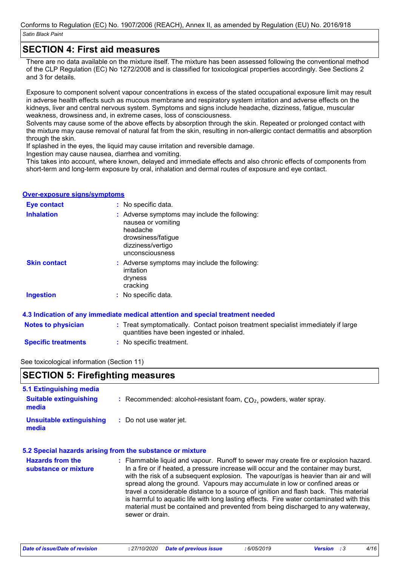### **SECTION 4: First aid measures**

There are no data available on the mixture itself. The mixture has been assessed following the conventional method of the CLP Regulation (EC) No 1272/2008 and is classified for toxicological properties accordingly. See Sections 2 and 3 for details.

Exposure to component solvent vapour concentrations in excess of the stated occupational exposure limit may result in adverse health effects such as mucous membrane and respiratory system irritation and adverse effects on the kidneys, liver and central nervous system. Symptoms and signs include headache, dizziness, fatigue, muscular weakness, drowsiness and, in extreme cases, loss of consciousness.

Solvents may cause some of the above effects by absorption through the skin. Repeated or prolonged contact with the mixture may cause removal of natural fat from the skin, resulting in non-allergic contact dermatitis and absorption through the skin.

If splashed in the eyes, the liquid may cause irritation and reversible damage.

Ingestion may cause nausea, diarrhea and vomiting.

This takes into account, where known, delayed and immediate effects and also chronic effects of components from short-term and long-term exposure by oral, inhalation and dermal routes of exposure and eye contact.

### **Over-exposure signs/symptoms**

| <b>Eye contact</b>  | : No specific data.                                                                                                                           |  |
|---------------------|-----------------------------------------------------------------------------------------------------------------------------------------------|--|
| <b>Inhalation</b>   | : Adverse symptoms may include the following:<br>nausea or vomiting<br>headache<br>drowsiness/fatigue<br>dizziness/vertigo<br>unconsciousness |  |
| <b>Skin contact</b> | : Adverse symptoms may include the following:<br>irritation<br>dryness<br>cracking                                                            |  |
| <b>Ingestion</b>    | : No specific data.                                                                                                                           |  |

### **4.3 Indication of any immediate medical attention and special treatment needed**

| <b>Notes to physician</b> | : Treat symptomatically. Contact poison treatment specialist immediately if large<br>quantities have been ingested or inhaled. |
|---------------------------|--------------------------------------------------------------------------------------------------------------------------------|
|                           | $\blacksquare$                                                                                                                 |

**Specific treatments :** No specific treatment.

### See toxicological information (Section 11)

| SECTION 5: Firefighting measures |                                                             |
|----------------------------------|-------------------------------------------------------------|
| 5.1 Extinguishing media          |                                                             |
| Suitable extinguiching           | Recommended: alcohol resistant foam CO, nowders water spray |

| <b>Suitable extinguishing</b><br>media | : Recommended: alcohol-resistant foam, $CO2$ , powders, water spray. |
|----------------------------------------|----------------------------------------------------------------------|
| Unsuitable extinguishing<br>media      | : Do not use water jet.                                              |

#### **5.2 Special hazards arising from the substance or mixture**

| <b>Hazards from the</b> | : Flammable liquid and vapour. Runoff to sewer may create fire or explosion hazard.                                                                                                                                                                                                   |
|-------------------------|---------------------------------------------------------------------------------------------------------------------------------------------------------------------------------------------------------------------------------------------------------------------------------------|
| substance or mixture    | In a fire or if heated, a pressure increase will occur and the container may burst,<br>with the risk of a subsequent explosion. The vapour/gas is heavier than air and will                                                                                                           |
|                         | spread along the ground. Vapours may accumulate in low or confined areas or                                                                                                                                                                                                           |
|                         | travel a considerable distance to a source of ignition and flash back. This material<br>is harmful to aquatic life with long lasting effects. Fire water contaminated with this<br>material must be contained and prevented from being discharged to any waterway,<br>sewer or drain. |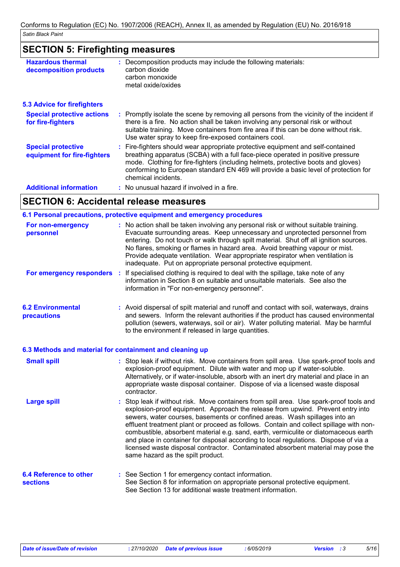### **SECTION 5: Firefighting measures**

| <b>Hazardous thermal</b><br>decomposition products       | : Decomposition products may include the following materials:<br>carbon dioxide<br>carbon monoxide<br>metal oxide/oxides                                                                                                                                                                                                                                              |
|----------------------------------------------------------|-----------------------------------------------------------------------------------------------------------------------------------------------------------------------------------------------------------------------------------------------------------------------------------------------------------------------------------------------------------------------|
| <b>5.3 Advice for firefighters</b>                       |                                                                                                                                                                                                                                                                                                                                                                       |
| <b>Special protective actions</b><br>for fire-fighters   | : Promptly isolate the scene by removing all persons from the vicinity of the incident if<br>there is a fire. No action shall be taken involving any personal risk or without<br>suitable training. Move containers from fire area if this can be done without risk.<br>Use water spray to keep fire-exposed containers cool.                                         |
| <b>Special protective</b><br>equipment for fire-fighters | : Fire-fighters should wear appropriate protective equipment and self-contained<br>breathing apparatus (SCBA) with a full face-piece operated in positive pressure<br>mode. Clothing for fire-fighters (including helmets, protective boots and gloves)<br>conforming to European standard EN 469 will provide a basic level of protection for<br>chemical incidents. |
| <b>Additional information</b>                            | : No unusual hazard if involved in a fire.                                                                                                                                                                                                                                                                                                                            |
|                                                          |                                                                                                                                                                                                                                                                                                                                                                       |

### **SECTION 6: Accidental release measures**

#### No action shall be taken involving any personal risk or without suitable training. **:** Evacuate surrounding areas. Keep unnecessary and unprotected personnel from entering. Do not touch or walk through spilt material. Shut off all ignition sources. No flares, smoking or flames in hazard area. Avoid breathing vapour or mist. Provide adequate ventilation. Wear appropriate respirator when ventilation is inadequate. Put on appropriate personal protective equipment. **6.2 Environmental precautions 6.1 Personal precautions, protective equipment and emergency procedures For non-emergency personnel For emergency responders :** If specialised clothing is required to deal with the spillage, take note of any information in Section 8 on suitable and unsuitable materials. See also the information in "For non-emergency personnel". **:** Avoid dispersal of spilt material and runoff and contact with soil, waterways, drains and sewers. Inform the relevant authorities if the product has caused environmental pollution (sewers, waterways, soil or air). Water polluting material. May be harmful to the environment if released in large quantities.

#### **6.3 Methods and material for containment and cleaning up**

| <b>Small spill</b>                               | : Stop leak if without risk. Move containers from spill area. Use spark-proof tools and<br>explosion-proof equipment. Dilute with water and mop up if water-soluble.<br>Alternatively, or if water-insoluble, absorb with an inert dry material and place in an<br>appropriate waste disposal container. Dispose of via a licensed waste disposal<br>contractor.                                                                                                                                                                                                                                                                                           |
|--------------------------------------------------|------------------------------------------------------------------------------------------------------------------------------------------------------------------------------------------------------------------------------------------------------------------------------------------------------------------------------------------------------------------------------------------------------------------------------------------------------------------------------------------------------------------------------------------------------------------------------------------------------------------------------------------------------------|
| <b>Large spill</b>                               | : Stop leak if without risk. Move containers from spill area. Use spark-proof tools and<br>explosion-proof equipment. Approach the release from upwind. Prevent entry into<br>sewers, water courses, basements or confined areas. Wash spillages into an<br>effluent treatment plant or proceed as follows. Contain and collect spillage with non-<br>combustible, absorbent material e.g. sand, earth, vermiculite or diatomaceous earth<br>and place in container for disposal according to local regulations. Dispose of via a<br>licensed waste disposal contractor. Contaminated absorbent material may pose the<br>same hazard as the spilt product. |
| <b>6.4 Reference to other</b><br><b>sections</b> | : See Section 1 for emergency contact information.<br>See Section 8 for information on appropriate personal protective equipment.<br>See Section 13 for additional waste treatment information.                                                                                                                                                                                                                                                                                                                                                                                                                                                            |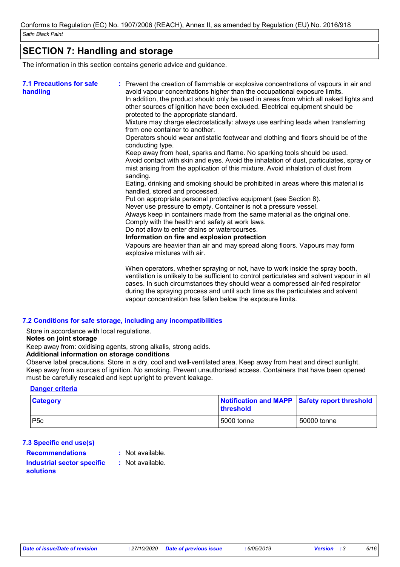# **SECTION 7: Handling and storage**

The information in this section contains generic advice and guidance.

| <b>7.1 Precautions for safe</b><br>handling | : Prevent the creation of flammable or explosive concentrations of vapours in air and<br>avoid vapour concentrations higher than the occupational exposure limits.<br>In addition, the product should only be used in areas from which all naked lights and<br>other sources of ignition have been excluded. Electrical equipment should be<br>protected to the appropriate standard.<br>Mixture may charge electrostatically: always use earthing leads when transferring<br>from one container to another.<br>Operators should wear antistatic footwear and clothing and floors should be of the<br>conducting type.<br>Keep away from heat, sparks and flame. No sparking tools should be used.<br>Avoid contact with skin and eyes. Avoid the inhalation of dust, particulates, spray or<br>mist arising from the application of this mixture. Avoid inhalation of dust from<br>sanding.<br>Eating, drinking and smoking should be prohibited in areas where this material is<br>handled, stored and processed.<br>Put on appropriate personal protective equipment (see Section 8).<br>Never use pressure to empty. Container is not a pressure vessel.<br>Always keep in containers made from the same material as the original one.<br>Comply with the health and safety at work laws.<br>Do not allow to enter drains or watercourses.<br>Information on fire and explosion protection<br>Vapours are heavier than air and may spread along floors. Vapours may form |
|---------------------------------------------|------------------------------------------------------------------------------------------------------------------------------------------------------------------------------------------------------------------------------------------------------------------------------------------------------------------------------------------------------------------------------------------------------------------------------------------------------------------------------------------------------------------------------------------------------------------------------------------------------------------------------------------------------------------------------------------------------------------------------------------------------------------------------------------------------------------------------------------------------------------------------------------------------------------------------------------------------------------------------------------------------------------------------------------------------------------------------------------------------------------------------------------------------------------------------------------------------------------------------------------------------------------------------------------------------------------------------------------------------------------------------------------------------------------------------------------------------------------------------|
|                                             | explosive mixtures with air.<br>When operators, whether spraying or not, have to work inside the spray booth,<br>ventilation is unlikely to be sufficient to control particulates and solvent vapour in all<br>cases. In such circumstances they should wear a compressed air-fed respirator<br>during the spraying process and until such time as the particulates and solvent<br>vapour concentration has fallen below the exposure limits.                                                                                                                                                                                                                                                                                                                                                                                                                                                                                                                                                                                                                                                                                                                                                                                                                                                                                                                                                                                                                                |

### **7.2 Conditions for safe storage, including any incompatibilities**

Store in accordance with local regulations.

**Notes on joint storage**

Keep away from: oxidising agents, strong alkalis, strong acids.

#### **Additional information on storage conditions**

Observe label precautions. Store in a dry, cool and well-ventilated area. Keep away from heat and direct sunlight. Keep away from sources of ignition. No smoking. Prevent unauthorised access. Containers that have been opened must be carefully resealed and kept upright to prevent leakage.

#### **Danger criteria**

| <b>Category</b> | threshold  | Notification and MAPP Safety report threshold |
|-----------------|------------|-----------------------------------------------|
| P5c             | 5000 tonne | 50000 tonne                                   |

### **7.3 Specific end use(s) Recommendations :**

: Not available.

- **Industrial sector specific :**
- : Not available.

### **solutions**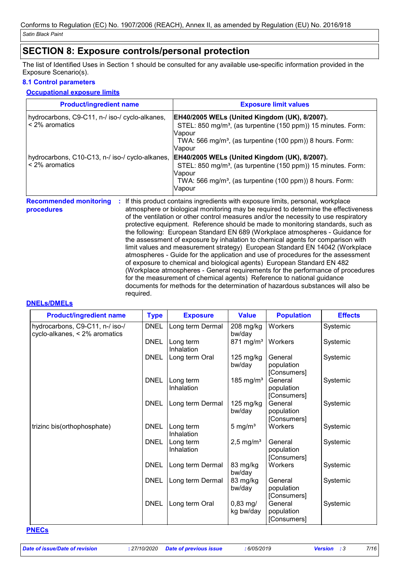## **SECTION 8: Exposure controls/personal protection**

The list of Identified Uses in Section 1 should be consulted for any available use-specific information provided in the Exposure Scenario(s).

### **8.1 Control parameters**

### **Occupational exposure limits**

| <b>Product/ingredient name</b>                                    | <b>Exposure limit values</b>                                                                                                                                                                                                   |
|-------------------------------------------------------------------|--------------------------------------------------------------------------------------------------------------------------------------------------------------------------------------------------------------------------------|
| hydrocarbons, C9-C11, n-/ iso-/ cyclo-alkanes,<br>< 2% aromatics  | <b>EH40/2005 WELs (United Kingdom (UK), 8/2007).</b><br>STEL: 850 mg/m <sup>3</sup> , (as turpentine (150 ppm)) 15 minutes. Form:<br>Vapour<br>TWA: 566 mg/m <sup>3</sup> , (as turpentine (100 ppm)) 8 hours. Form:<br>Vapour |
| hydrocarbons, C10-C13, n-/ iso-/ cyclo-alkanes,<br>< 2% aromatics | EH40/2005 WELs (United Kingdom (UK), 8/2007).<br>STEL: 850 mg/m <sup>3</sup> , (as turpentine (150 ppm)) 15 minutes. Form:<br>Vapour<br>TWA: 566 mg/m <sup>3</sup> , (as turpentine (100 ppm)) 8 hours. Form:<br>Vapour        |
|                                                                   | <b>Recommended monitoring : If this product contains ingredients with exposure limits personal workplace</b>                                                                                                                   |

**Recommended monitoring procedures** If this product contains ingredients with exposure limits, personal, workplace atmosphere or biological monitoring may be required to determine the effectiveness of the ventilation or other control measures and/or the necessity to use respiratory protective equipment. Reference should be made to monitoring standards, such as the following: European Standard EN 689 (Workplace atmospheres - Guidance for the assessment of exposure by inhalation to chemical agents for comparison with limit values and measurement strategy) European Standard EN 14042 (Workplace atmospheres - Guide for the application and use of procedures for the assessment of exposure to chemical and biological agents) European Standard EN 482 (Workplace atmospheres - General requirements for the performance of procedures for the measurement of chemical agents) Reference to national guidance documents for methods for the determination of hazardous substances will also be required. **:**

### **DNELs/DMELs**

| <b>Product/ingredient name</b>                                   | <b>Type</b> | <b>Exposure</b>         | <b>Value</b>                     | <b>Population</b>                    | <b>Effects</b> |
|------------------------------------------------------------------|-------------|-------------------------|----------------------------------|--------------------------------------|----------------|
| hydrocarbons, C9-C11, n-/ iso-/<br>cyclo-alkanes, < 2% aromatics | <b>DNEL</b> | Long term Dermal        | 208 mg/kg<br>bw/day              | Workers                              | Systemic       |
|                                                                  | <b>DNEL</b> | Long term<br>Inhalation | $871$ mg/m <sup>3</sup>          | Workers                              | Systemic       |
|                                                                  | <b>DNEL</b> | Long term Oral          | 125 mg/kg<br>bw/day              | General<br>population<br>[Consumers] | Systemic       |
|                                                                  | <b>DNEL</b> | Long term<br>Inhalation | 185 mg/m <sup>3</sup>            | General<br>population<br>[Consumers] | Systemic       |
|                                                                  | <b>DNEL</b> | Long term Dermal        | 125 mg/kg<br>bw/day              | General<br>population<br>[Consumers] | Systemic       |
| trizinc bis(orthophosphate)                                      | <b>DNEL</b> | Long term<br>Inhalation | 5 mg/ $m3$                       | Workers                              | Systemic       |
|                                                                  | <b>DNEL</b> | Long term<br>Inhalation | $2,5$ mg/m <sup>3</sup>          | General<br>population<br>[Consumers] | Systemic       |
|                                                                  | <b>DNEL</b> | Long term Dermal        | 83 mg/kg<br>bw/day               | Workers                              | Systemic       |
|                                                                  | <b>DNEL</b> | Long term Dermal        | 83 mg/kg<br>bw/day               | General<br>population<br>[Consumers] | Systemic       |
|                                                                  | <b>DNEL</b> | Long term Oral          | $0,83 \, \text{mg}$<br>kg bw/day | General<br>population<br>[Consumers] | Systemic       |

#### **PNECs**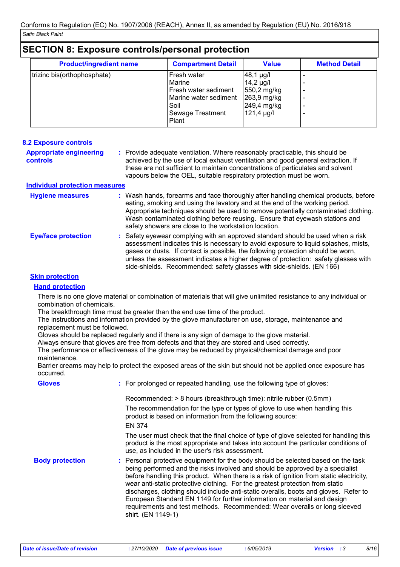| <b>Product/ingredient name</b> | <b>Compartment Detail</b>     | <b>Value</b>                  | <b>Method Detail</b> |
|--------------------------------|-------------------------------|-------------------------------|----------------------|
| trizinc bis(orthophosphate)    | Fresh water<br>Marine         | $48,1 \mu g/l$                |                      |
|                                | Fresh water sediment          | $14,2 \mu g/l$<br>550,2 mg/kg |                      |
|                                | Marine water sediment<br>Soil | 263,9 mg/kg<br>249,4 mg/kg    |                      |
|                                | Sewage Treatment<br>Plant     | $121,4 \mu g/l$               |                      |

| <b>8.2 Exposure controls</b>                      |                                                                                                                                                                                                                                                                                                                                                                                                                           |
|---------------------------------------------------|---------------------------------------------------------------------------------------------------------------------------------------------------------------------------------------------------------------------------------------------------------------------------------------------------------------------------------------------------------------------------------------------------------------------------|
| <b>Appropriate engineering</b><br><b>controls</b> | : Provide adequate ventilation. Where reasonably practicable, this should be<br>achieved by the use of local exhaust ventilation and good general extraction. If<br>these are not sufficient to maintain concentrations of particulates and solvent<br>vapours below the OEL, suitable respiratory protection must be worn.                                                                                               |
| <b>Individual protection measures</b>             |                                                                                                                                                                                                                                                                                                                                                                                                                           |
| <b>Hygiene measures</b>                           | : Wash hands, forearms and face thoroughly after handling chemical products, before<br>eating, smoking and using the lavatory and at the end of the working period.<br>Appropriate techniques should be used to remove potentially contaminated clothing.<br>Wash contaminated clothing before reusing. Ensure that eyewash stations and<br>safety showers are close to the workstation location.                         |
| <b>Eye/face protection</b>                        | : Safety eyewear complying with an approved standard should be used when a risk<br>assessment indicates this is necessary to avoid exposure to liquid splashes, mists,<br>gases or dusts. If contact is possible, the following protection should be worn,<br>unless the assessment indicates a higher degree of protection: safety glasses with<br>side-shields. Recommended: safety glasses with side-shields. (EN 166) |

### **Skin protection**

#### **Hand protection**

There is no one glove material or combination of materials that will give unlimited resistance to any individual or combination of chemicals.

The breakthrough time must be greater than the end use time of the product.

The instructions and information provided by the glove manufacturer on use, storage, maintenance and replacement must be followed.

Gloves should be replaced regularly and if there is any sign of damage to the glove material.

Always ensure that gloves are free from defects and that they are stored and used correctly.

The performance or effectiveness of the glove may be reduced by physical/chemical damage and poor maintenance.

Barrier creams may help to protect the exposed areas of the skin but should not be applied once exposure has occurred.

| <b>Gloves</b>          | : For prolonged or repeated handling, use the following type of gloves:                                                                                                                                                                                                                                                                                                                                                                                                                                                                                                                                               |
|------------------------|-----------------------------------------------------------------------------------------------------------------------------------------------------------------------------------------------------------------------------------------------------------------------------------------------------------------------------------------------------------------------------------------------------------------------------------------------------------------------------------------------------------------------------------------------------------------------------------------------------------------------|
|                        | Recommended: > 8 hours (breakthrough time): nitrile rubber (0.5mm)                                                                                                                                                                                                                                                                                                                                                                                                                                                                                                                                                    |
|                        | The recommendation for the type or types of glove to use when handling this<br>product is based on information from the following source:<br>EN 374                                                                                                                                                                                                                                                                                                                                                                                                                                                                   |
|                        | The user must check that the final choice of type of glove selected for handling this<br>product is the most appropriate and takes into account the particular conditions of<br>use, as included in the user's risk assessment.                                                                                                                                                                                                                                                                                                                                                                                       |
| <b>Body protection</b> | : Personal protective equipment for the body should be selected based on the task<br>being performed and the risks involved and should be approved by a specialist<br>before handling this product. When there is a risk of ignition from static electricity,<br>wear anti-static protective clothing. For the greatest protection from static<br>discharges, clothing should include anti-static overalls, boots and gloves. Refer to<br>European Standard EN 1149 for further information on material and design<br>requirements and test methods. Recommended: Wear overalls or long sleeved<br>shirt. (EN 1149-1) |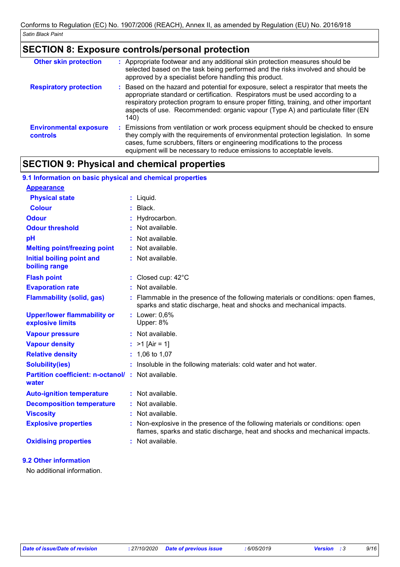# **SECTION 8: Exposure controls/personal protection**

| <b>Other skin protection</b>                     | : Appropriate footwear and any additional skin protection measures should be<br>selected based on the task being performed and the risks involved and should be<br>approved by a specialist before handling this product.                                                                                                                                 |
|--------------------------------------------------|-----------------------------------------------------------------------------------------------------------------------------------------------------------------------------------------------------------------------------------------------------------------------------------------------------------------------------------------------------------|
| <b>Respiratory protection</b>                    | Based on the hazard and potential for exposure, select a respirator that meets the<br>appropriate standard or certification. Respirators must be used according to a<br>respiratory protection program to ensure proper fitting, training, and other important<br>aspects of use. Recommended: organic vapour (Type A) and particulate filter (EN<br>140) |
| <b>Environmental exposure</b><br><b>controls</b> | Emissions from ventilation or work process equipment should be checked to ensure<br>÷.<br>they comply with the requirements of environmental protection legislation. In some<br>cases, fume scrubbers, filters or engineering modifications to the process<br>equipment will be necessary to reduce emissions to acceptable levels.                       |

# **SECTION 9: Physical and chemical properties**

**9.1 Information on basic physical and chemical properties**

| 9.1 Information on basic privsical and chemical properties        |                                                                                                                                                                |
|-------------------------------------------------------------------|----------------------------------------------------------------------------------------------------------------------------------------------------------------|
| <b>Appearance</b>                                                 |                                                                                                                                                                |
| <b>Physical state</b>                                             | $:$ Liquid.                                                                                                                                                    |
| <b>Colour</b>                                                     | $:$ Black.                                                                                                                                                     |
| <b>Odour</b>                                                      | : Hydrocarbon.                                                                                                                                                 |
| <b>Odour threshold</b>                                            | : Not available.                                                                                                                                               |
| pH                                                                | : Not available.                                                                                                                                               |
| <b>Melting point/freezing point</b>                               | : Not available.                                                                                                                                               |
| Initial boiling point and<br>boiling range                        | : Not available.                                                                                                                                               |
| <b>Flash point</b>                                                | : Closed cup: $42^{\circ}$ C                                                                                                                                   |
| <b>Evaporation rate</b>                                           | $:$ Not available.                                                                                                                                             |
| <b>Flammability (solid, gas)</b>                                  | : Flammable in the presence of the following materials or conditions: open flames,<br>sparks and static discharge, heat and shocks and mechanical impacts.     |
| <b>Upper/lower flammability or</b><br>explosive limits            | : Lower: 0,6%<br>Upper: 8%                                                                                                                                     |
| <b>Vapour pressure</b>                                            | : Not available.                                                                                                                                               |
| <b>Vapour density</b>                                             | : $>1$ [Air = 1]                                                                                                                                               |
| <b>Relative density</b>                                           | $: 1,06$ to 1,07                                                                                                                                               |
| <b>Solubility(ies)</b>                                            | : Insoluble in the following materials: cold water and hot water.                                                                                              |
| <b>Partition coefficient: n-octanol/: Not available.</b><br>water |                                                                                                                                                                |
| <b>Auto-ignition temperature</b>                                  | $:$ Not available.                                                                                                                                             |
| <b>Decomposition temperature</b>                                  | : Not available.                                                                                                                                               |
| <b>Viscosity</b>                                                  | : Not available.                                                                                                                                               |
| <b>Explosive properties</b>                                       | : Non-explosive in the presence of the following materials or conditions: open<br>flames, sparks and static discharge, heat and shocks and mechanical impacts. |
| <b>Oxidising properties</b>                                       | : Not available.                                                                                                                                               |

### **9.2 Other information**

No additional information.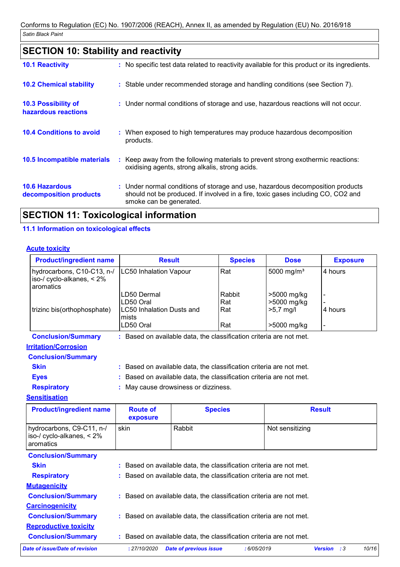# **SECTION 10: Stability and reactivity**

| <b>10.1 Reactivity</b>                            | : No specific test data related to reactivity available for this product or its ingredients.                                                                                                  |
|---------------------------------------------------|-----------------------------------------------------------------------------------------------------------------------------------------------------------------------------------------------|
| <b>10.2 Chemical stability</b>                    | : Stable under recommended storage and handling conditions (see Section 7).                                                                                                                   |
| <b>10.3 Possibility of</b><br>hazardous reactions | : Under normal conditions of storage and use, hazardous reactions will not occur.                                                                                                             |
| <b>10.4 Conditions to avoid</b>                   | : When exposed to high temperatures may produce hazardous decomposition<br>products.                                                                                                          |
| 10.5 Incompatible materials                       | : Keep away from the following materials to prevent strong exothermic reactions:<br>oxidising agents, strong alkalis, strong acids.                                                           |
| <b>10.6 Hazardous</b><br>decomposition products   | : Under normal conditions of storage and use, hazardous decomposition products<br>should not be produced. If involved in a fire, toxic gases including CO, CO2 and<br>smoke can be generated. |

# **SECTION 11: Toxicological information**

### **11.1 Information on toxicological effects**

### **Acute toxicity**

| <b>Product/ingredient name</b>                                          | <b>Result</b>                                                                | <b>Species</b>              | <b>Dose</b>                                              | <b>Exposure</b> |  |
|-------------------------------------------------------------------------|------------------------------------------------------------------------------|-----------------------------|----------------------------------------------------------|-----------------|--|
| hydrocarbons, C10-C13, n-/<br>iso-/ cyclo-alkanes, $< 2\%$<br>aromatics | LC50 Inhalation Vapour                                                       | Rat                         | 5000 mg/m <sup>3</sup>                                   | 4 hours         |  |
| trizinc bis(orthophosphate)                                             | LD50 Dermal<br>LD50 Oral<br>LC50 Inhalation Dusts and<br>Imists<br>LD50 Oral | Rabbit<br>Rat<br>Rat<br>Rat | >5000 mg/kg<br>>5000 mg/kg<br>$>5.7$ mg/l<br>>5000 mg/kg | 4 hours         |  |
| <b>Conclusion/Summary</b>                                               | Based on available data, the classification criteria are not met.            |                             |                                                          |                 |  |

### **Irritation/Corrosion**

### **Conclusion/Summary**

- **Eyes :** Based on available data, the classification criteria are not met.
- **Respiratory :** May cause drowsiness or dizziness.

### **Sensitisation**

| <b>Product/ingredient name</b>                                         | <b>Route of</b><br>exposure | <b>Species</b>                                                    |                 | <b>Result</b>                |       |
|------------------------------------------------------------------------|-----------------------------|-------------------------------------------------------------------|-----------------|------------------------------|-------|
| hydrocarbons, C9-C11, n-/<br>iso-/ cyclo-alkanes, $< 2\%$<br>aromatics | skin                        | Rabbit                                                            | Not sensitizing |                              |       |
| <b>Conclusion/Summary</b>                                              |                             |                                                                   |                 |                              |       |
| <b>Skin</b>                                                            |                             | Based on available data, the classification criteria are not met. |                 |                              |       |
| <b>Respiratory</b>                                                     |                             | Based on available data, the classification criteria are not met. |                 |                              |       |
| <b>Mutagenicity</b>                                                    |                             |                                                                   |                 |                              |       |
| <b>Conclusion/Summary</b>                                              |                             | Based on available data, the classification criteria are not met. |                 |                              |       |
| <b>Carcinogenicity</b>                                                 |                             |                                                                   |                 |                              |       |
| <b>Conclusion/Summary</b>                                              |                             | Based on available data, the classification criteria are not met. |                 |                              |       |
| <b>Reproductive toxicity</b>                                           |                             |                                                                   |                 |                              |       |
| <b>Conclusion/Summary</b>                                              |                             | Based on available data, the classification criteria are not met. |                 |                              |       |
| <b>Date of issue/Date of revision</b>                                  | : 27/10/2020                | <b>Date of previous issue</b>                                     | :6/05/2019      | <b>Version</b><br>$\cdot$ :3 | 10/16 |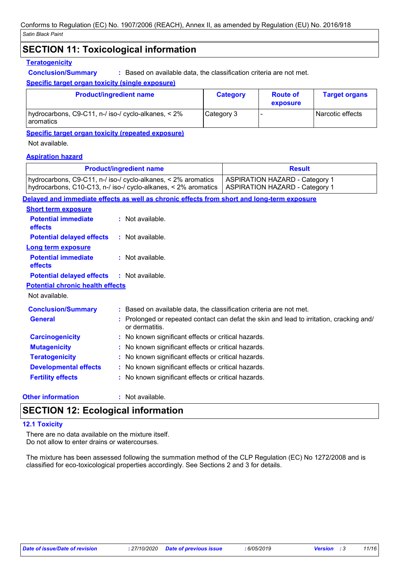### **SECTION 11: Toxicological information**

### **Teratogenicity**

**Conclusion/Summary :** Based on available data, the classification criteria are not met.

### **Specific target organ toxicity (single exposure)**

| <b>Product/ingredient name</b>                                   | <b>Category</b> | <b>Route of</b><br>exposure | <b>Target organs</b> |
|------------------------------------------------------------------|-----------------|-----------------------------|----------------------|
| hydrocarbons, C9-C11, n-/ iso-/ cyclo-alkanes, < 2%<br>aromatics | Category 3      |                             | l Narcotic effects   |

**Specific target organ toxicity (repeated exposure)**

Not available.

### **Aspiration hazard**

|                                              | <b>Product/ingredient name</b>                                                                                                  | <b>Result</b>                                                                            |  |  |
|----------------------------------------------|---------------------------------------------------------------------------------------------------------------------------------|------------------------------------------------------------------------------------------|--|--|
|                                              | hydrocarbons, C9-C11, n-/ iso-/ cyclo-alkanes, < 2% aromatics<br>hydrocarbons, C10-C13, n-/ iso-/ cyclo-alkanes, < 2% aromatics | <b>ASPIRATION HAZARD - Category 1</b><br><b>ASPIRATION HAZARD - Category 1</b>           |  |  |
|                                              | Delayed and immediate effects as well as chronic effects from short and long-term exposure                                      |                                                                                          |  |  |
| <b>Short term exposure</b>                   |                                                                                                                                 |                                                                                          |  |  |
| <b>Potential immediate</b><br><b>effects</b> | $:$ Not available.                                                                                                              |                                                                                          |  |  |
| <b>Potential delayed effects</b>             | $:$ Not available.                                                                                                              |                                                                                          |  |  |
| <b>Long term exposure</b>                    |                                                                                                                                 |                                                                                          |  |  |
| <b>Potential immediate</b><br><b>effects</b> | $:$ Not available.                                                                                                              |                                                                                          |  |  |
| <b>Potential delayed effects</b>             | $:$ Not available.                                                                                                              |                                                                                          |  |  |
| <b>Potential chronic health effects</b>      |                                                                                                                                 |                                                                                          |  |  |
| Not available.                               |                                                                                                                                 |                                                                                          |  |  |
| <b>Conclusion/Summary</b>                    | : Based on available data, the classification criteria are not met.                                                             |                                                                                          |  |  |
| <b>General</b>                               | or dermatitis.                                                                                                                  | : Prolonged or repeated contact can defat the skin and lead to irritation, cracking and/ |  |  |
| <b>Carcinogenicity</b>                       |                                                                                                                                 | : No known significant effects or critical hazards.                                      |  |  |
| <b>Mutagenicity</b>                          |                                                                                                                                 | : No known significant effects or critical hazards.                                      |  |  |
| <b>Teratogenicity</b>                        |                                                                                                                                 | : No known significant effects or critical hazards.                                      |  |  |
| <b>Developmental effects</b>                 |                                                                                                                                 | : No known significant effects or critical hazards.                                      |  |  |
| <b>Fertility effects</b>                     | : No known significant effects or critical hazards.                                                                             |                                                                                          |  |  |

### **Other information :**

: Not available.

### **SECTION 12: Ecological information**

### **12.1 Toxicity**

There are no data available on the mixture itself. Do not allow to enter drains or watercourses.

The mixture has been assessed following the summation method of the CLP Regulation (EC) No 1272/2008 and is classified for eco-toxicological properties accordingly. See Sections 2 and 3 for details.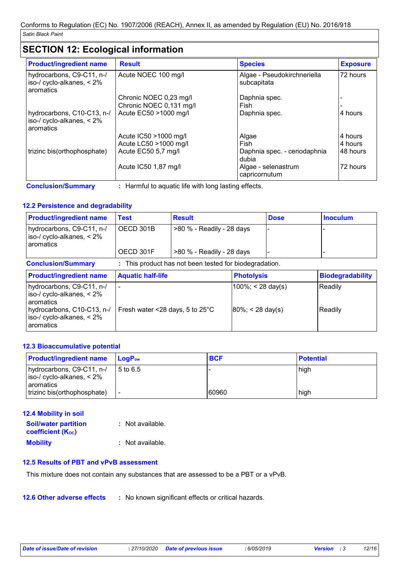# **SECTION 12: Ecological information**

| <b>Result</b>           | <b>Species</b>                             | <b>Exposure</b> |
|-------------------------|--------------------------------------------|-----------------|
| Acute NOEC 100 mg/l     | Algae - Pseudokirchneriella<br>subcapitata | 72 hours        |
| Chronic NOEC 0,23 mg/l  | Daphnia spec.                              |                 |
| Chronic NOEC 0,131 mg/l | Fish                                       |                 |
| Acute EC50 >1000 mg/l   | Daphnia spec.                              | 4 hours         |
| Acute IC50 > 1000 mg/l  | Algae                                      | 4 hours         |
| Acute LC50 >1000 mg/l   | Fish                                       | 4 hours         |
| Acute EC50 5,7 mg/l     | Daphnia spec. - ceriodaphnia<br>dubia      | 48 hours        |
| Acute IC50 1,87 mg/l    | Algae - selenastrum<br>capricornutum       | 72 hours        |
|                         |                                            |                 |

### **12.2 Persistence and degradability**

| <b>Product/ingredient name</b>                                                                                                    | <b>Test</b>                                                 | <b>Result</b>                                          |                                               | <b>Dose</b> | <b>Inoculum</b>         |
|-----------------------------------------------------------------------------------------------------------------------------------|-------------------------------------------------------------|--------------------------------------------------------|-----------------------------------------------|-------------|-------------------------|
| hydrocarbons, C9-C11, n-/<br>iso-/ cyclo-alkanes, $< 2\%$<br>aromatics                                                            | OECD 301B                                                   | >80 % - Readily - 28 days                              |                                               |             |                         |
|                                                                                                                                   | OECD 301F                                                   | >80 % - Readily - 28 days                              |                                               |             |                         |
| <b>Conclusion/Summary</b>                                                                                                         |                                                             | : This product has not been tested for biodegradation. |                                               |             |                         |
| <b>Product/ingredient name</b>                                                                                                    | <b>Aquatic half-life</b>                                    |                                                        | <b>Photolysis</b>                             |             | <b>Biodegradability</b> |
| hydrocarbons, C9-C11, n-/<br>iso-/ cyclo-alkanes, $< 2\%$<br>aromatics<br>hydrocarbons, C10-C13, n-/<br>iso-/ cyclo-alkanes, < 2% | $\blacksquare$<br>Fresh water <28 days, 5 to $25^{\circ}$ C |                                                        | $100\%$ ; < 28 day(s)<br>$ 80\%  < 28$ day(s) |             | Readily<br>Readily      |
| aromatics                                                                                                                         |                                                             |                                                        |                                               |             |                         |

### **12.3 Bioaccumulative potential**

| <b>Product/ingredient name</b>                                      | $\mathsf{LoaP}_\mathsf{ow}$ | <b>BCF</b> | <b>Potential</b> |
|---------------------------------------------------------------------|-----------------------------|------------|------------------|
| hydrocarbons, C9-C11, n-/<br>iso-/ cyclo-alkanes, < 2%<br>aromatics | l 5 to 6.5                  |            | high             |
| trizinc bis(orthophosphate)                                         | $\overline{\phantom{a}}$    | 60960      | high             |

| <b>12.4 Mobility in soil</b>                            |                  |
|---------------------------------------------------------|------------------|
| <b>Soil/water partition</b><br><b>coefficient (Koc)</b> | : Not available. |
| <b>Mobility</b>                                         | : Not available. |

### **12.5 Results of PBT and vPvB assessment**

This mixture does not contain any substances that are assessed to be a PBT or a vPvB.

**12.6 Other adverse effects** : No known significant effects or critical hazards.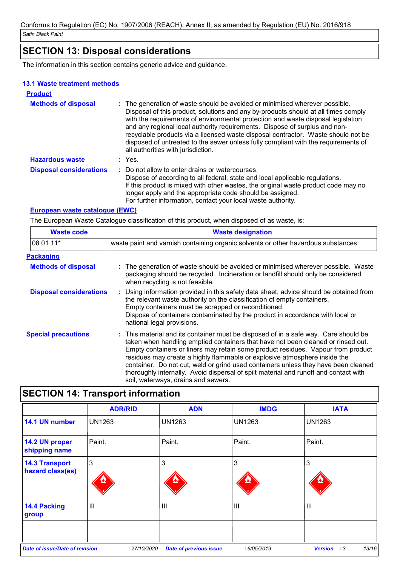# **SECTION 13: Disposal considerations**

The information in this section contains generic advice and guidance.

### **13.1 Waste treatment methods**

| <b>Product</b>                 |                                                                                                                                                                                                                                                                                                                                                                                                                                                                                                                                                      |
|--------------------------------|------------------------------------------------------------------------------------------------------------------------------------------------------------------------------------------------------------------------------------------------------------------------------------------------------------------------------------------------------------------------------------------------------------------------------------------------------------------------------------------------------------------------------------------------------|
| <b>Methods of disposal</b>     | : The generation of waste should be avoided or minimised wherever possible.<br>Disposal of this product, solutions and any by-products should at all times comply<br>with the requirements of environmental protection and waste disposal legislation<br>and any regional local authority requirements. Dispose of surplus and non-<br>recyclable products via a licensed waste disposal contractor. Waste should not be<br>disposed of untreated to the sewer unless fully compliant with the requirements of<br>all authorities with jurisdiction. |
| <b>Hazardous waste</b>         | $:$ Yes.                                                                                                                                                                                                                                                                                                                                                                                                                                                                                                                                             |
| <b>Disposal considerations</b> | : Do not allow to enter drains or watercourses.<br>Dispose of according to all federal, state and local applicable regulations.<br>If this product is mixed with other wastes, the original waste product code may no<br>longer apply and the appropriate code should be assigned.<br>For further information, contact your local waste authority.                                                                                                                                                                                                   |

### **European waste catalogue (EWC)**

The European Waste Catalogue classification of this product, when disposed of as waste, is:

| <b>Waste code</b>              | <b>Waste designation</b>                                                                                                                                                                                                                                                                                                                                                                                                                                                                                                                                      |  |  |
|--------------------------------|---------------------------------------------------------------------------------------------------------------------------------------------------------------------------------------------------------------------------------------------------------------------------------------------------------------------------------------------------------------------------------------------------------------------------------------------------------------------------------------------------------------------------------------------------------------|--|--|
| 08 01 11*                      | waste paint and varnish containing organic solvents or other hazardous substances                                                                                                                                                                                                                                                                                                                                                                                                                                                                             |  |  |
| <b>Packaging</b>               |                                                                                                                                                                                                                                                                                                                                                                                                                                                                                                                                                               |  |  |
| <b>Methods of disposal</b>     | : The generation of waste should be avoided or minimised wherever possible. Waste<br>packaging should be recycled. Incineration or landfill should only be considered<br>when recycling is not feasible.                                                                                                                                                                                                                                                                                                                                                      |  |  |
| <b>Disposal considerations</b> | : Using information provided in this safety data sheet, advice should be obtained from<br>the relevant waste authority on the classification of empty containers.<br>Empty containers must be scrapped or reconditioned.<br>Dispose of containers contaminated by the product in accordance with local or<br>national legal provisions.                                                                                                                                                                                                                       |  |  |
| <b>Special precautions</b>     | : This material and its container must be disposed of in a safe way. Care should be<br>taken when handling emptied containers that have not been cleaned or rinsed out.<br>Empty containers or liners may retain some product residues. Vapour from product<br>residues may create a highly flammable or explosive atmosphere inside the<br>container. Do not cut, weld or grind used containers unless they have been cleaned<br>thoroughly internally. Avoid dispersal of spilt material and runoff and contact with<br>soil, waterways, drains and sewers. |  |  |

| <b>SECTION 14: Transport information</b>  |                |                               |               |                                       |
|-------------------------------------------|----------------|-------------------------------|---------------|---------------------------------------|
|                                           | <b>ADR/RID</b> | <b>ADN</b>                    | <b>IMDG</b>   | <b>IATA</b>                           |
| 14.1 UN number                            | <b>UN1263</b>  | <b>UN1263</b>                 | <b>UN1263</b> | UN1263                                |
| 14.2 UN proper<br>shipping name           | Paint.         | Paint.                        | Paint.        | Paint.                                |
| <b>14.3 Transport</b><br>hazard class(es) | 3              | 3                             | 3             | 3                                     |
| <b>14.4 Packing</b><br>group              | Ш              | $\mathbf{III}$                | $\mathbf{  }$ | Ш                                     |
|                                           |                |                               |               |                                       |
| <b>Date of issue/Date of revision</b>     | : 27/10/2020   | <b>Date of previous issue</b> | :6/05/2019    | 13/16<br><b>Version</b><br>$\cdot$ :3 |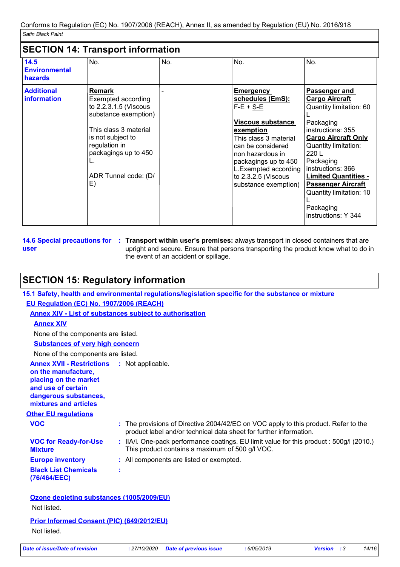### **SECTION 14: Transport information**

| 14.5<br><b>Environmental</b><br><b>hazards</b> | No.                                                                                                                                                                                                       | No. | No.                                                                                                                                                                                                                                                      | No.                                                                                                                                                                                                                                                                                                                                    |
|------------------------------------------------|-----------------------------------------------------------------------------------------------------------------------------------------------------------------------------------------------------------|-----|----------------------------------------------------------------------------------------------------------------------------------------------------------------------------------------------------------------------------------------------------------|----------------------------------------------------------------------------------------------------------------------------------------------------------------------------------------------------------------------------------------------------------------------------------------------------------------------------------------|
| <b>Additional</b><br><b>information</b>        | <b>Remark</b><br>Exempted according<br>to 2.2.3.1.5 (Viscous<br>substance exemption)<br>This class 3 material<br>is not subject to<br>regulation in<br>packagings up to 450<br>ADR Tunnel code: (D/<br>E) |     | <b>Emergency</b><br>schedules (EmS):<br>$F-E + S-E$<br>Viscous substance<br>exemption<br>This class 3 material<br>can be considered<br>non hazardous in<br>packagings up to 450<br>L.Exempted according<br>to $2.3.2.5$ (Viscous<br>substance exemption) | <b>Passenger and</b><br><b>Cargo Aircraft</b><br>Quantity limitation: 60<br>Packaging<br>instructions: 355<br><b>Cargo Aircraft Only</b><br>Quantity limitation:<br>220 L<br>Packaging<br>instructions: 366<br><b>Limited Quantities -</b><br><b>Passenger Aircraft</b><br>Quantity limitation: 10<br>Packaging<br>instructions: Y 344 |

**14.6 Special precautions for : Transport within user's premises: always transport in closed containers that are user** upright and secure. Ensure that persons transporting the product know what to do in the event of an accident or spillage.

# **SECTION 15: Regulatory information**

| EU Regulation (EC) No. 1907/2006 (REACH)                                                                                                                                   | <b>Annex XIV - List of substances subject to authorisation</b>                                                                                            |
|----------------------------------------------------------------------------------------------------------------------------------------------------------------------------|-----------------------------------------------------------------------------------------------------------------------------------------------------------|
|                                                                                                                                                                            |                                                                                                                                                           |
| <b>Annex XIV</b>                                                                                                                                                           |                                                                                                                                                           |
| None of the components are listed.                                                                                                                                         |                                                                                                                                                           |
| <b>Substances of very high concern</b>                                                                                                                                     |                                                                                                                                                           |
| None of the components are listed.                                                                                                                                         |                                                                                                                                                           |
| <b>Annex XVII - Restrictions : Not applicable.</b><br>on the manufacture,<br>placing on the market<br>and use of certain<br>dangerous substances,<br>mixtures and articles |                                                                                                                                                           |
| <b>Other EU regulations</b>                                                                                                                                                |                                                                                                                                                           |
| <b>VOC</b>                                                                                                                                                                 | : The provisions of Directive 2004/42/EC on VOC apply to this product. Refer to the<br>product label and/or technical data sheet for further information. |
| <b>VOC for Ready-for-Use</b><br><b>Mixture</b>                                                                                                                             | : IIA/i. One-pack performance coatings. EU limit value for this product : 500g/l (2010.)<br>This product contains a maximum of 500 g/l VOC.               |
| <b>Europe inventory</b>                                                                                                                                                    | : All components are listed or exempted.                                                                                                                  |
| <b>Black List Chemicals</b><br>(76/464/EEC)                                                                                                                                | ÷                                                                                                                                                         |

Not listed.

| <b>Prior Informed Consent (PIC) (649/2012/EU)</b> |  |
|---------------------------------------------------|--|
| Not listed.                                       |  |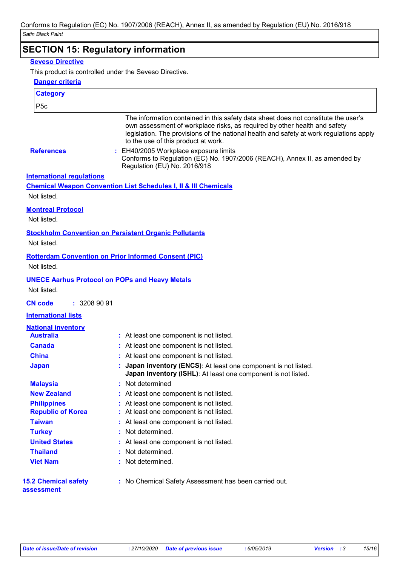# **SECTION 15: Regulatory information**

### **Seveso Directive**

This product is controlled under the Seveso Directive.

| <b>Danger criteria</b>                    |                                                                                                                                                                                                                                                                                                                                                                                                                          |
|-------------------------------------------|--------------------------------------------------------------------------------------------------------------------------------------------------------------------------------------------------------------------------------------------------------------------------------------------------------------------------------------------------------------------------------------------------------------------------|
| <b>Category</b>                           |                                                                                                                                                                                                                                                                                                                                                                                                                          |
| P <sub>5c</sub>                           |                                                                                                                                                                                                                                                                                                                                                                                                                          |
| <b>References</b>                         | The information contained in this safety data sheet does not constitute the user's<br>own assessment of workplace risks, as required by other health and safety<br>legislation. The provisions of the national health and safety at work regulations apply<br>to the use of this product at work.<br>: EH40/2005 Workplace exposure limits<br>Conforms to Regulation (EC) No. 1907/2006 (REACH), Annex II, as amended by |
|                                           | Regulation (EU) No. 2016/918                                                                                                                                                                                                                                                                                                                                                                                             |
| <b>International requlations</b>          |                                                                                                                                                                                                                                                                                                                                                                                                                          |
|                                           | <b>Chemical Weapon Convention List Schedules I, II &amp; III Chemicals</b>                                                                                                                                                                                                                                                                                                                                               |
| Not listed.                               |                                                                                                                                                                                                                                                                                                                                                                                                                          |
| <b>Montreal Protocol</b>                  |                                                                                                                                                                                                                                                                                                                                                                                                                          |
| Not listed.                               |                                                                                                                                                                                                                                                                                                                                                                                                                          |
|                                           | <b>Stockholm Convention on Persistent Organic Pollutants</b>                                                                                                                                                                                                                                                                                                                                                             |
| Not listed.                               |                                                                                                                                                                                                                                                                                                                                                                                                                          |
|                                           | <b>Rotterdam Convention on Prior Informed Consent (PIC)</b>                                                                                                                                                                                                                                                                                                                                                              |
| Not listed.                               |                                                                                                                                                                                                                                                                                                                                                                                                                          |
|                                           | <b>UNECE Aarhus Protocol on POPs and Heavy Metals</b>                                                                                                                                                                                                                                                                                                                                                                    |
| Not listed.                               |                                                                                                                                                                                                                                                                                                                                                                                                                          |
|                                           |                                                                                                                                                                                                                                                                                                                                                                                                                          |
| <b>CN code</b><br>: 32089091              |                                                                                                                                                                                                                                                                                                                                                                                                                          |
| <b>International lists</b>                |                                                                                                                                                                                                                                                                                                                                                                                                                          |
| <b>National inventory</b>                 |                                                                                                                                                                                                                                                                                                                                                                                                                          |
| <b>Australia</b>                          | : At least one component is not listed.                                                                                                                                                                                                                                                                                                                                                                                  |
| <b>Canada</b>                             | : At least one component is not listed.                                                                                                                                                                                                                                                                                                                                                                                  |
| <b>China</b>                              | At least one component is not listed.                                                                                                                                                                                                                                                                                                                                                                                    |
| <b>Japan</b>                              | Japan inventory (ENCS): At least one component is not listed.<br>Japan inventory (ISHL): At least one component is not listed.                                                                                                                                                                                                                                                                                           |
| <b>Malaysia</b>                           | : Not determined                                                                                                                                                                                                                                                                                                                                                                                                         |
| <b>New Zealand</b>                        | At least one component is not listed.                                                                                                                                                                                                                                                                                                                                                                                    |
| <b>Philippines</b>                        | At least one component is not listed.                                                                                                                                                                                                                                                                                                                                                                                    |
| <b>Republic of Korea</b>                  | At least one component is not listed.                                                                                                                                                                                                                                                                                                                                                                                    |
| <b>Taiwan</b>                             | : At least one component is not listed.                                                                                                                                                                                                                                                                                                                                                                                  |
| <b>Turkey</b>                             | Not determined.                                                                                                                                                                                                                                                                                                                                                                                                          |
| <b>United States</b>                      | At least one component is not listed.                                                                                                                                                                                                                                                                                                                                                                                    |
| <b>Thailand</b>                           | Not determined.                                                                                                                                                                                                                                                                                                                                                                                                          |
| <b>Viet Nam</b>                           | Not determined.                                                                                                                                                                                                                                                                                                                                                                                                          |
| <b>15.2 Chemical safety</b><br>assessment | : No Chemical Safety Assessment has been carried out.                                                                                                                                                                                                                                                                                                                                                                    |